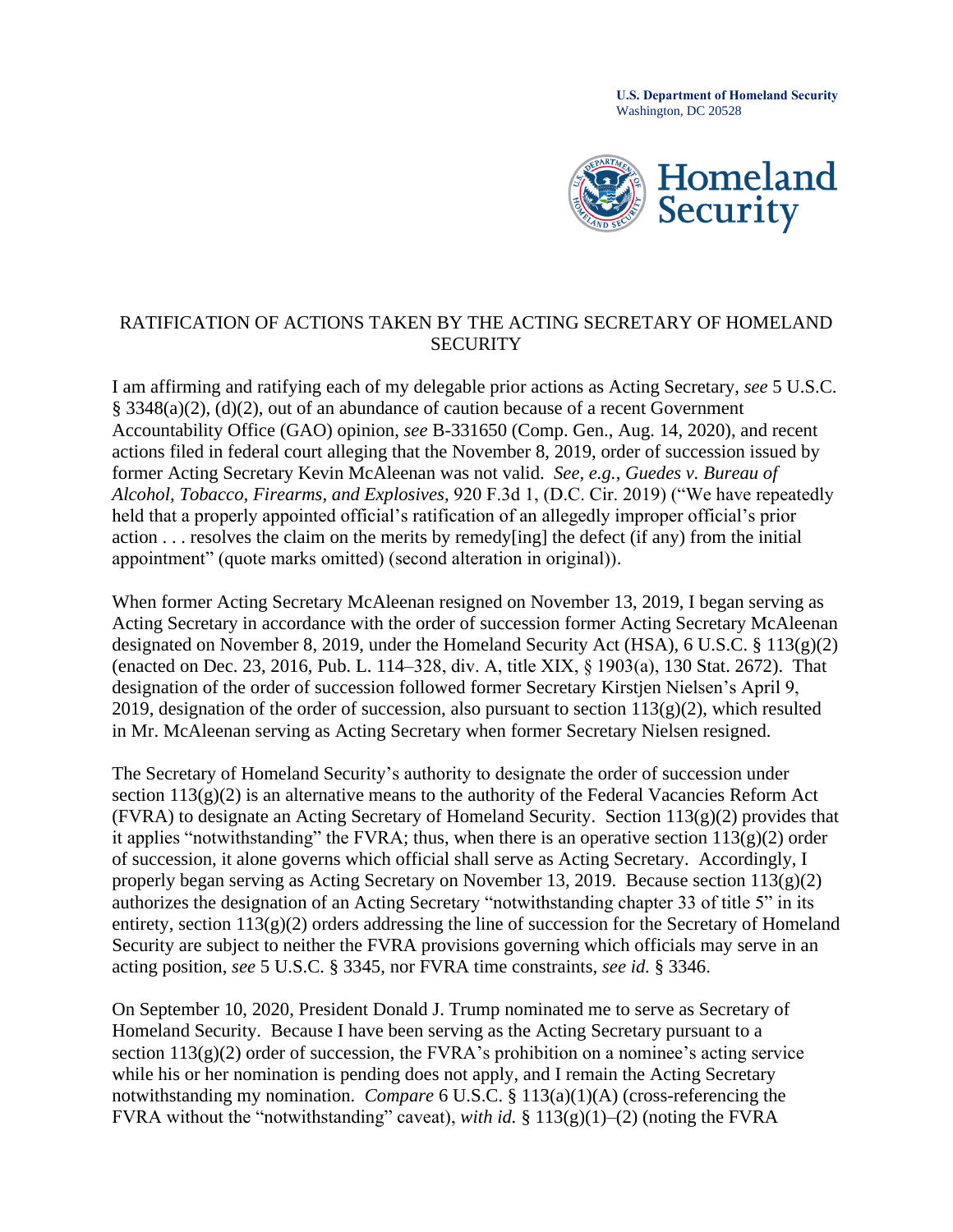**U.S. Department of Homeland Security**  Washington, DC 20528



## RATIFICATION OF ACTIONS TAKEN BY THE ACTING SECRETARY OF HOMELAND **SECURITY**

 former Acting Secretary Kevin McAleenan was not valid. *See, e.g.*, *Guedes v. Bureau of*  I am affirming and ratifying each of my delegable prior actions as Acting Secretary, *see* 5 U.S.C. § 3348(a)(2), (d)(2), out of an abundance of caution because of a recent Government Accountability Office (GAO) opinion, *see* B-331650 (Comp. Gen., Aug. 14, 2020), and recent actions filed in federal court alleging that the November 8, 2019, order of succession issued by *Alcohol, Tobacco, Firearms, and Explosives*, 920 F.3d 1, (D.C. Cir. 2019) ("We have repeatedly held that a properly appointed official's ratification of an allegedly improper official's prior action . . . resolves the claim on the merits by remedy[ing] the defect (if any) from the initial appointment" (quote marks omitted) (second alteration in original)).

 (enacted on Dec. 23, 2016, Pub. L. 114–328, div. A, title XIX, § 1903(a), 130 Stat. 2672). That in Mr. McAleenan serving as Acting Secretary when former Secretary Nielsen resigned. When former Acting Secretary McAleenan resigned on November 13, 2019, I began serving as Acting Secretary in accordance with the order of succession former Acting Secretary McAleenan designated on November 8, 2019, under the Homeland Security Act (HSA), 6 U.S.C. § 113(g)(2) designation of the order of succession followed former Secretary Kirstjen Nielsen's April 9, 2019, designation of the order of succession, also pursuant to section  $113(g)(2)$ , which resulted

The Secretary of Homeland Security's authority to designate the order of succession under section  $113(g)(2)$  is an alternative means to the authority of the Federal Vacancies Reform Act (FVRA) to designate an Acting Secretary of Homeland Security. Section 113(g)(2) provides that it applies "notwithstanding" the FVRA; thus, when there is an operative section  $113(g)(2)$  order of succession, it alone governs which official shall serve as Acting Secretary. Accordingly, I properly began serving as Acting Secretary on November 13, 2019. Because section 113(g)(2) authorizes the designation of an Acting Secretary "notwithstanding chapter 33 of title 5" in its entirety, section 113(g)(2) orders addressing the line of succession for the Secretary of Homeland Security are subject to neither the FVRA provisions governing which officials may serve in an acting position, *see* 5 U.S.C. § 3345, nor FVRA time constraints, *see id.* § 3346.

 Homeland Security. Because I have been serving as the Acting Secretary pursuant to a On September 10, 2020, President Donald J. Trump nominated me to serve as Secretary of section  $113(g)(2)$  order of succession, the FVRA's prohibition on a nominee's acting service while his or her nomination is pending does not apply, and I remain the Acting Secretary notwithstanding my nomination. *Compare* 6 U.S.C. § 113(a)(1)(A) (cross-referencing the FVRA without the "notwithstanding" caveat), *with id.* § 113(g)(1)–(2) (noting the FVRA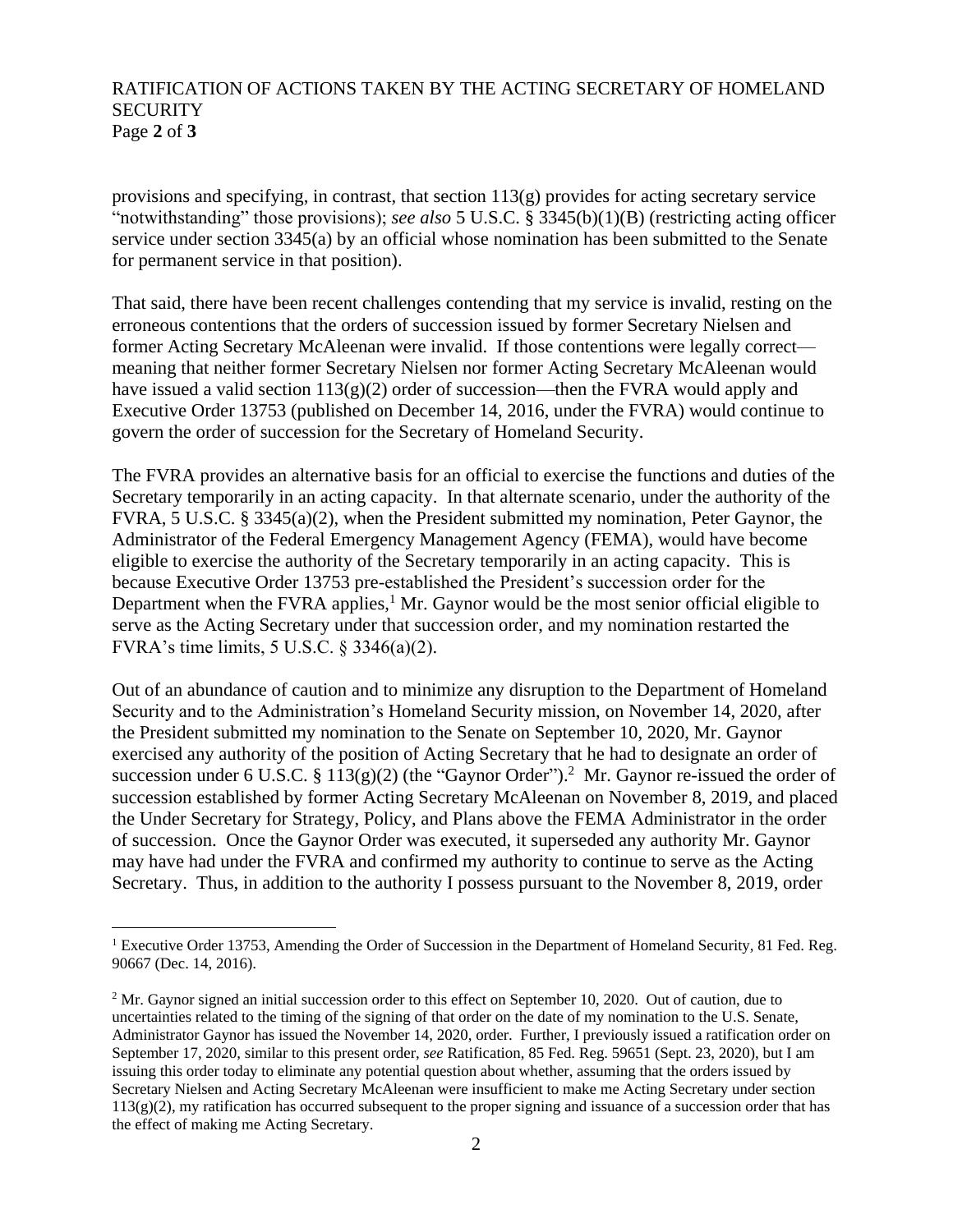## RATIFICATION OF ACTIONS TAKEN BY THE ACTING SECRETARY OF HOMELAND **SECURITY** Page **2** of **3**

provisions and specifying, in contrast, that section 113(g) provides for acting secretary service "notwithstanding" those provisions); *see also* 5 U.S.C. § 3345(b)(1)(B) (restricting acting officer service under section 3345(a) by an official whose nomination has been submitted to the Senate for permanent service in that position).

 former Acting Secretary McAleenan were invalid. If those contentions were legally correct— That said, there have been recent challenges contending that my service is invalid, resting on the erroneous contentions that the orders of succession issued by former Secretary Nielsen and meaning that neither former Secretary Nielsen nor former Acting Secretary McAleenan would have issued a valid section  $113(g)(2)$  order of succession—then the FVRA would apply and Executive Order 13753 (published on December 14, 2016, under the FVRA) would continue to govern the order of succession for the Secretary of Homeland Security.

 eligible to exercise the authority of the Secretary temporarily in an acting capacity. This is FVRA's time limits,  $5$  U.S.C.  $\S$  3346(a)(2). The FVRA provides an alternative basis for an official to exercise the functions and duties of the Secretary temporarily in an acting capacity. In that alternate scenario, under the authority of the FVRA, 5 U.S.C. § 3345(a)(2), when the President submitted my nomination, Peter Gaynor, the Administrator of the Federal Emergency Management Agency (FEMA), would have become because Executive Order 13753 pre-established the President's succession order for the Department when the FVRA applies, $<sup>1</sup>$  Mr. Gaynor would be the most senior official eligible to</sup> serve as the Acting Secretary under that succession order, and my nomination restarted the

succession under 6 U.S.C. § 113(g)(2) (the "Gaynor Order").<sup>2</sup> Mr. Gaynor re-issued the order of Out of an abundance of caution and to minimize any disruption to the Department of Homeland Security and to the Administration's Homeland Security mission, on November 14, 2020, after the President submitted my nomination to the Senate on September 10, 2020, Mr. Gaynor exercised any authority of the position of Acting Secretary that he had to designate an order of succession established by former Acting Secretary McAleenan on November 8, 2019, and placed the Under Secretary for Strategy, Policy, and Plans above the FEMA Administrator in the order of succession. Once the Gaynor Order was executed, it superseded any authority Mr. Gaynor may have had under the FVRA and confirmed my authority to continue to serve as the Acting Secretary. Thus, in addition to the authority I possess pursuant to the November 8, 2019, order

<sup>&</sup>lt;sup>1</sup> Executive Order 13753, Amending the Order of Succession in the Department of Homeland Security, 81 Fed. Reg. 90667 (Dec. 14, 2016).

 Administrator Gaynor has issued the November 14, 2020, order. Further, I previously issued a ratification order on the effect of making me Acting Secretary. <sup>2</sup> Mr. Gaynor signed an initial succession order to this effect on September 10, 2020. Out of caution, due to uncertainties related to the timing of the signing of that order on the date of my nomination to the U.S. Senate, September 17, 2020, similar to this present order, *see* Ratification, 85 Fed. Reg. 59651 (Sept. 23, 2020), but I am issuing this order today to eliminate any potential question about whether, assuming that the orders issued by Secretary Nielsen and Acting Secretary McAleenan were insufficient to make me Acting Secretary under section  $113(g)(2)$ , my ratification has occurred subsequent to the proper signing and issuance of a succession order that has